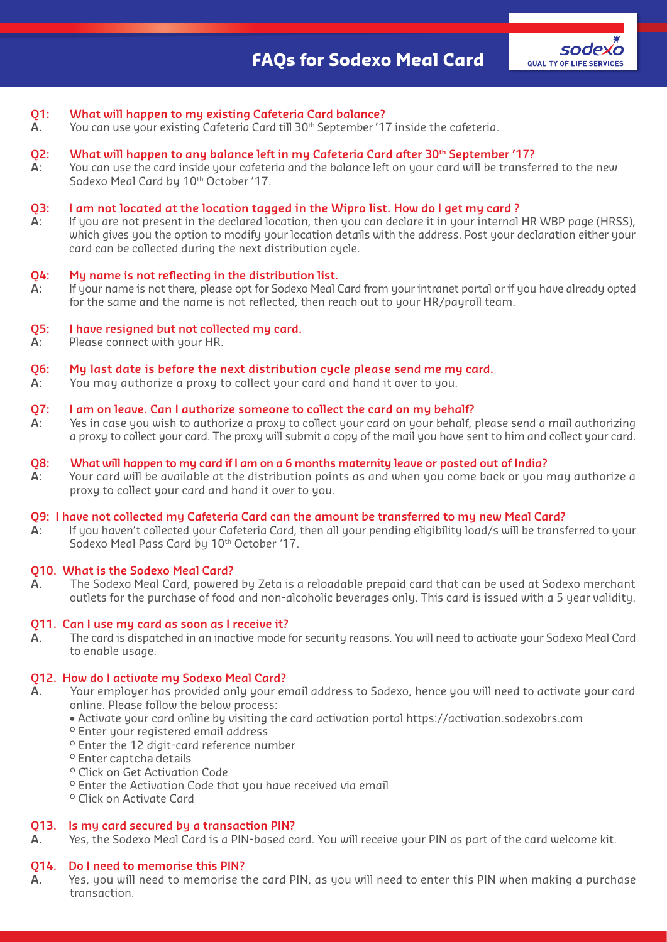## **Q1: What will happen to my existing Cafeteria Card balance?**

**A.** You can use your existing Cafeteria Card till 30th September '17 inside the cafeteria.

#### **Q2:** What will happen to any balance left in my Cafeteria Card after 30<sup>th</sup> September '17?

A: You can use the card inside your cafeteria and the balance left on your card will be transferred to the new Sodexo Meal Card by 10<sup>th</sup> October '17.

#### **Q3: I am not located at the location tagged in the Wipro list. How do I get my card ?**

**A:** If you are not present in the declared location, then you can declare it in your internal HR WBP page (HRSS), which gives you the option to modify your location details with the address. Post your declaration either your card can be collected during the next distribution cycle.

#### **Q4: My name is not reflecting in the distribution list.**

**A:** If your name is not there, please opt for Sodexo Meal Card from your intranet portal or if you have already opted for the same and the name is not reflected, then reach out to your HR/payroll team.

#### **Q5: I have resigned but not collected my card.**

**A:** Please connect with your HR.

#### **Q6: My last date is before the next distribution cycle please send me my card.**

**A:** You may authorize a proxy to collect your card and hand it over to you.

#### **Q7: I am on leave. Can I authorize someone to collect the card on my behalf?**

**A:** Yes in case you wish to authorize a proxy to collect your card on your behalf, please send a mail authorizing a proxy to collect your card. The proxy will submit a copy of the mail you have sent to him and collect your card.

#### **Q8: What will happen to my card if I am on a 6 months maternity leave or posted out of India?**

**A:** Your card will be available at the distribution points as and when you come back or you may authorize a proxy to collect your card and hand it over to you.

#### **Q9: I have not collected my Cafeteria Card can the amount be transferred to my new Meal Card?**

**A:** If you haven't collected your Cafeteria Card, then all your pending eligibility load/s will be transferred to your Sodexo Meal Pass Card by 10<sup>th</sup> October '17.

## **Q10. What is the Sodexo Meal Card?**

**A.** The Sodexo Meal Card, powered by Zeta is a reloadable prepaid card that can be used at Sodexo merchant outlets for the purchase of food and non-alcoholic beverages only. This card is issued with a 5 year validity.

#### **Q11. Can I use my card as soon as I receive it?**

**A.** The card is dispatched in an inactive mode for security reasons. You will need to activate your Sodexo Meal Card to enable usage.

#### **Q12. How do I activate my Sodexo Meal Card?**

- **A.** Your employer has provided only your email address to Sodexo, hence you will need to activate your card online. Please follow the below process:
	- Activate your card online by visiting the card activation portal https://activation.sodexobrs.com
	- <sup>o</sup> Enter your registered email address
	- º Enter the 12 digit-card reference number
	- º Enter captcha details
	- º Click on Get Activation Code
	- º Enter the Activation Code that you have received via email
	- º Click on Activate Card

#### **Q13. Is my card secured by a transaction PIN?**

**A.** Yes, the Sodexo Meal Card is a PIN-based card. You will receive your PIN as part of the card welcome kit.

#### **Q14. Do I need to memorise this PIN?**

**A.** Yes, you will need to memorise the card PIN, as you will need to enter this PIN when making a purchase transaction.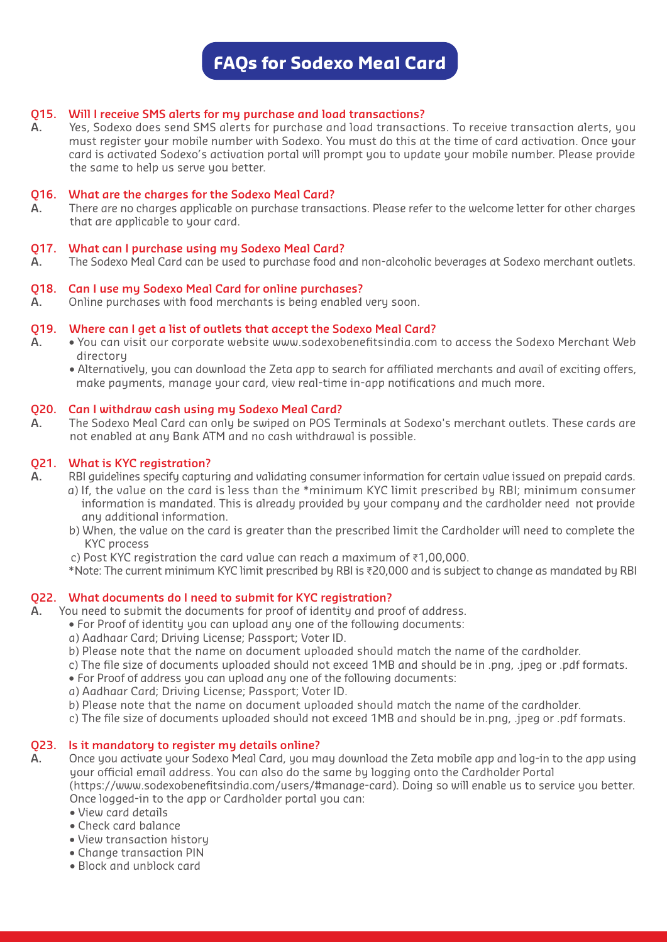# **FAQs for Sodexo Meal Card**

# **Q15. Will I receive SMS alerts for my purchase and load transactions?**

**A.** Yes, Sodexo does send SMS alerts for purchase and load transactions. To receive transaction alerts, you must register your mobile number with Sodexo. You must do this at the time of card activation. Once your card is activated Sodexo's activation portal will prompt you to update your mobile number. Please provide the same to help us serve you better.

#### **Q16. What are the charges for the Sodexo Meal Card?**

**A.** There are no charges applicable on purchase transactions. Please refer to the welcome letter for other charges that are applicable to your card.

## **Q17. What can I purchase using my Sodexo Meal Card?**

**A.** The Sodexo Meal Card can be used to purchase food and non-alcoholic beverages at Sodexo merchant outlets.

#### **Q18. Can I use my Sodexo Meal Card for online purchases?**

**A.** Online purchases with food merchants is being enabled very soon.

#### **Q19. Where can I get a list of outlets that accept the Sodexo Meal Card?**

- **A.** You can visit our corporate website www.sodexobenefitsindia.com to access the Sodexo Merchant Web directory
	- Alternatively, you can download the Zeta app to search for affiliated merchants and avail of exciting offers, make payments, manage your card, view real-time in-app notifications and much more.

#### **Q20. Can I withdraw cash using my Sodexo Meal Card?**

**A.** The Sodexo Meal Card can only be swiped on POS Terminals at Sodexo's merchant outlets. These cards are not enabled at any Bank ATM and no cash withdrawal is possible.

## **Q21. What is KYC registration?**

- **A.** RBI guidelines specify capturing and validating consumer information for certain value issued on prepaid cards.
	- a) If, the value on the card is less than the \*minimum KYC limit prescribed by RBI; minimum consumer information is mandated. This is already provided by your company and the cardholder need not provide any additional information.
	- b) When, the value on the card is greater than the prescribed limit the Cardholder will need to complete the KYC process
	- c) Post KYC registration the card value can reach a maximum of ₹1,00,000.
	- \*Note: The current minimum KYC limit prescribed by RBI is ₹20,000 and is subject to change as mandated by RBI

# **Q22. What documents do I need to submit for KYC registration?**

**A.** You need to submit the documents for proof of identity and proof of address.

- For Proof of identity you can upload any one of the following documents:
- a) Aadhaar Card; Driving License; Passport; Voter ID.
- b) Please note that the name on document uploaded should match the name of the cardholder.
- c) The file size of documents uploaded should not exceed 1MB and should be in .png, .jpeg or .pdf formats.
- For Proof of address you can upload any one of the following documents:
- a) Aadhaar Card; Driving License; Passport; Voter ID.
- b) Please note that the name on document uploaded should match the name of the cardholder.
- c) The file size of documents uploaded should not exceed 1MB and should be in.png, .jpeg or .pdf formats.

# **Q23. Is it mandatory to register my details online?**

- **A.** Once you activate your Sodexo Meal Card, you may download the Zeta mobile app and log-in to the app using your official email address. You can also do the same by logging onto the Cardholder Portal (https://www.sodexobenefitsindia.com/users/#manage-card). Doing so will enable us to service you better. Once logged-in to the app or Cardholder portal you can:
	- View card details
	- Check card balance
	- View transaction history
	- Change transaction PIN
	- Block and unblock card